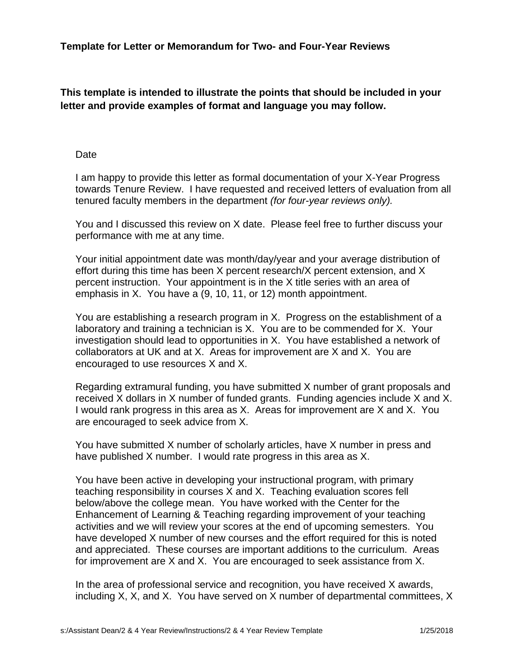**This template is intended to illustrate the points that should be included in your letter and provide examples of format and language you may follow.**

## Date

I am happy to provide this letter as formal documentation of your X-Year Progress towards Tenure Review. I have requested and received letters of evaluation from all tenured faculty members in the department *(for four-year reviews only).*

You and I discussed this review on X date. Please feel free to further discuss your performance with me at any time.

Your initial appointment date was month/day/year and your average distribution of effort during this time has been X percent research/X percent extension, and X percent instruction. Your appointment is in the X title series with an area of emphasis in X. You have a (9, 10, 11, or 12) month appointment.

You are establishing a research program in X. Progress on the establishment of a laboratory and training a technician is X. You are to be commended for X. Your investigation should lead to opportunities in X. You have established a network of collaborators at UK and at X. Areas for improvement are X and X. You are encouraged to use resources X and X.

Regarding extramural funding, you have submitted X number of grant proposals and received X dollars in X number of funded grants. Funding agencies include X and X. I would rank progress in this area as X. Areas for improvement are X and X. You are encouraged to seek advice from X.

You have submitted X number of scholarly articles, have X number in press and have published X number. I would rate progress in this area as X.

You have been active in developing your instructional program, with primary teaching responsibility in courses X and X. Teaching evaluation scores fell below/above the college mean. You have worked with the Center for the Enhancement of Learning & Teaching regarding improvement of your teaching activities and we will review your scores at the end of upcoming semesters. You have developed X number of new courses and the effort required for this is noted and appreciated. These courses are important additions to the curriculum. Areas for improvement are X and X. You are encouraged to seek assistance from X.

In the area of professional service and recognition, you have received X awards, including X, X, and X. You have served on X number of departmental committees, X